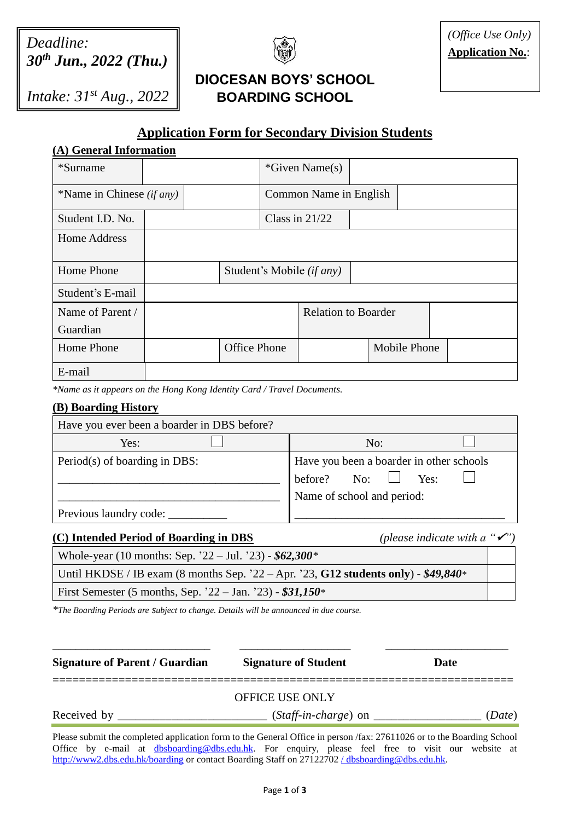





# **DIOCESAN BOYS' SCHOOL BOARDING SCHOOL**

## **Application Form for Secondary Division Students**

| (A) General Information     |  |                        |                     |                                  |                            |  |                     |  |  |
|-----------------------------|--|------------------------|---------------------|----------------------------------|----------------------------|--|---------------------|--|--|
| *Surname                    |  |                        |                     |                                  | <i>*Given Name(s)</i>      |  |                     |  |  |
| *Name in Chinese $(if any)$ |  | Common Name in English |                     |                                  |                            |  |                     |  |  |
| Student I.D. No.            |  |                        |                     |                                  | Class in $21/22$           |  |                     |  |  |
| Home Address                |  |                        |                     |                                  |                            |  |                     |  |  |
| Home Phone                  |  |                        |                     | Student's Mobile <i>(if any)</i> |                            |  |                     |  |  |
| Student's E-mail            |  |                        |                     |                                  |                            |  |                     |  |  |
| Name of Parent /            |  |                        |                     |                                  | <b>Relation to Boarder</b> |  |                     |  |  |
| Guardian                    |  |                        |                     |                                  |                            |  |                     |  |  |
| Home Phone                  |  |                        | <b>Office Phone</b> |                                  |                            |  | <b>Mobile Phone</b> |  |  |
| E-mail                      |  |                        |                     |                                  |                            |  |                     |  |  |

*\*Name as it appears on the Hong Kong Identity Card / Travel Documents.*

#### **(B) Boarding History**

| Have you ever been a boarder in DBS before? |                                                                                                   |
|---------------------------------------------|---------------------------------------------------------------------------------------------------|
| Yes:                                        | No:                                                                                               |
| Period(s) of boarding in DBS:               | Have you been a boarder in other schools<br>before? No: $\Box$ Yes:<br>Name of school and period: |
| Previous laundry code:                      |                                                                                                   |

#### **(C) Intended Period of Boarding in DBS** *(please indicate with a "")*

| Whole-year (10 months: Sep. $22 - \text{Jul. } 23$ ) - \$62,300*                       |
|----------------------------------------------------------------------------------------|
| Until HKDSE / IB exam (8 months Sep. $22 -$ Apr. $23$ , G12 students only) - \$49,840* |

First Semester (5 months, Sep. '22 – Jan. '23) - *\$31,150\**

*\*The Boarding Periods are subject to change. Details will be announced in due course.*

| <b>Signature of Parent / Guardian</b> | <b>Signature of Student</b> | Date   |  |  |
|---------------------------------------|-----------------------------|--------|--|--|
|                                       | <b>OFFICE USE ONLY</b>      |        |  |  |
| Received by                           | $(Staff-in-charge)$ on      | (Date) |  |  |

**\_\_\_\_\_\_\_\_\_\_\_\_\_\_\_\_\_\_\_\_\_\_\_\_\_\_\_ \_\_\_\_\_\_\_\_\_\_\_\_\_\_\_\_\_\_\_ \_\_\_\_\_\_\_\_\_\_\_\_\_\_\_\_\_\_\_\_\_**

Please submit the completed application form to the General Office in person /fax: 27611026 or to the Boarding School Office by e-mail at [dbsboarding@dbs.edu.hk.](mailto:dbsboarding@dbs.edu.hk) For enquiry, please feel free to visit our website at <http://www2.dbs.edu.hk/boarding> or contact Boarding Staff on 27122702 / [dbsboarding@dbs.edu.hk.](mailto:/%20dbsboarding@dbs.edu.hk)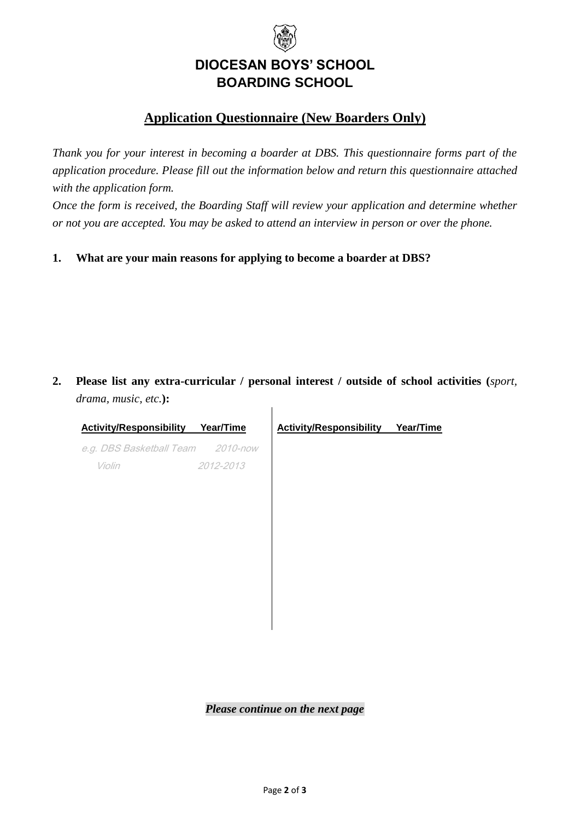

### **Application Questionnaire (New Boarders Only)**

*Thank you for your interest in becoming a boarder at DBS. This questionnaire forms part of the application procedure. Please fill out the information below and return this questionnaire attached with the application form.*

*Once the form is received, the Boarding Staff will review your application and determine whether or not you are accepted. You may be asked to attend an interview in person or over the phone.*

**1. What are your main reasons for applying to become a boarder at DBS?**

**2. Please list any extra-curricular / personal interest / outside of school activities (***sport, drama, music, etc.***):**  $\mathbf{I}$ 

| <b>Activity/Responsibility</b>    | Year/Time | <b>Activity/Responsibility</b> | Year/Time |
|-----------------------------------|-----------|--------------------------------|-----------|
| e.g. DBS Basketball Team 2010-now |           |                                |           |
| Violin                            | 2012-2013 |                                |           |
|                                   |           |                                |           |
|                                   |           |                                |           |
|                                   |           |                                |           |
|                                   |           |                                |           |
|                                   |           |                                |           |
|                                   |           |                                |           |

*Please continue on the next page*